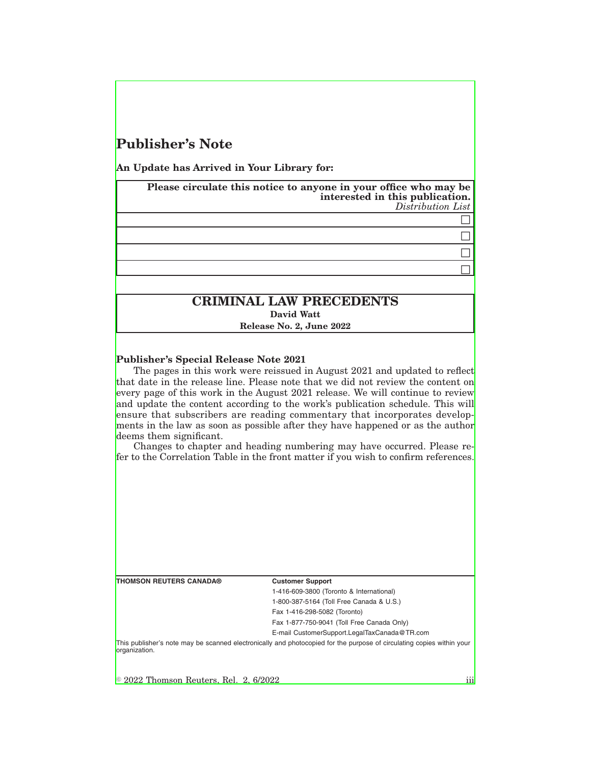# **Publisher's Note**

**An Update has Arrived in Your Library for:**

**Please circulate this notice to anyone in your office who may be interested in this publication.** *Distribution List*

> $\Box$  $\Box$

 $\Box$ 

 $\Box$ 

## **CRIMINAL LAW PRECEDENTS David Watt**

**Release No. 2, June 2022**

#### **Publisher's Special Release Note 2021**

The pages in this work were reissued in August 2021 and updated to reflect that date in the release line. Please note that we did not review the content on every page of this work in the August 2021 release. We will continue to review and update the content according to the work's publication schedule. This will ensure that subscribers are reading commentary that incorporates developments in the law as soon as possible after they have happened or as the author deems them significant.

Changes to chapter and heading numbering may have occurred. Please refer to the Correlation Table in the front matter if you wish to confirm references.

| <b>THOMSON REUTERS CANADA®</b>                 | <b>Customer Support</b>                                                                                               |
|------------------------------------------------|-----------------------------------------------------------------------------------------------------------------------|
|                                                | 1-416-609-3800 (Toronto & International)                                                                              |
|                                                | 1-800-387-5164 (Toll Free Canada & U.S.)                                                                              |
|                                                | Fax 1-416-298-5082 (Toronto)                                                                                          |
|                                                | Fax 1-877-750-9041 (Toll Free Canada Only)                                                                            |
|                                                | E-mail CustomerSupport.LegalTaxCanada@TR.com                                                                          |
| lorganization.                                 | This publisher's note may be scanned electronically and photocopied for the purpose of circulating copies within your |
|                                                |                                                                                                                       |
| $\degree$ 2022 Thomson Reuters, Rel. 2, 6/2022 |                                                                                                                       |